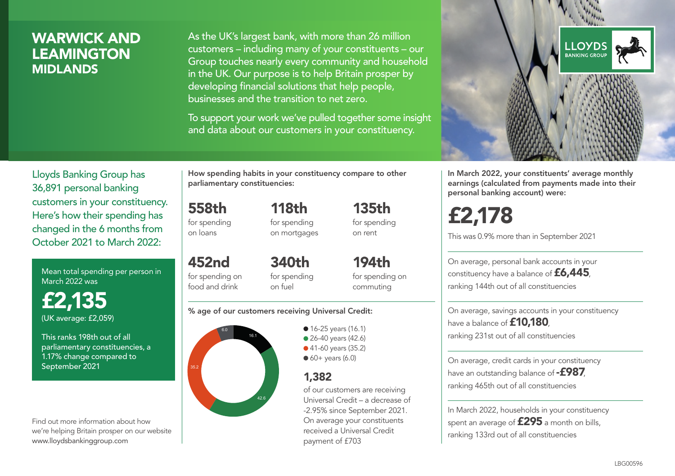### WARWICK AND LEAMINGTON MIDLANDS

As the UK's largest bank, with more than 26 million customers – including many of your constituents – our Group touches nearly every community and household in the UK. Our purpose is to help Britain prosper by developing financial solutions that help people, businesses and the transition to net zero.

To support your work we've pulled together some insight and data about our customers in your constituency.



Mean total spending per person in March 2022 was

£2,135 (UK average: £2,059)

This ranks 198th out of all parliamentary constituencies, a 1.17% change compared to September 2021

Find out more information about how we're helping Britain prosper on our website www.lloydsbankinggroup.com

How spending habits in your constituency compare to other parliamentary constituencies:

558th for spending on loans

452nd

food and drink

for spending on mortgages

118th

135th for spending on rent

194th

for spending on 340th for spending on fuel

for spending on commuting

#### % age of our customers receiving Universal Credit:



**16-25 years (16.1)** • 26-40 years (42.6) ● 41-60 years (35.2)  $60+$  years (6.0)

### 1,382

of our customers are receiving Universal Credit – a decrease of -2.95% since September 2021. On average your constituents received a Universal Credit payment of £703



In March 2022, your constituents' average monthly earnings (calculated from payments made into their personal banking account) were:

# £2,178

This was 0.9% more than in September 2021

On average, personal bank accounts in your constituency have a balance of £6,445, ranking 144th out of all constituencies

On average, savings accounts in your constituency have a balance of **£10,180** ranking 231st out of all constituencies

On average, credit cards in your constituency have an outstanding balance of **-£987** ranking 465th out of all constituencies

In March 2022, households in your constituency spent an average of £295 a month on bills, ranking 133rd out of all constituencies